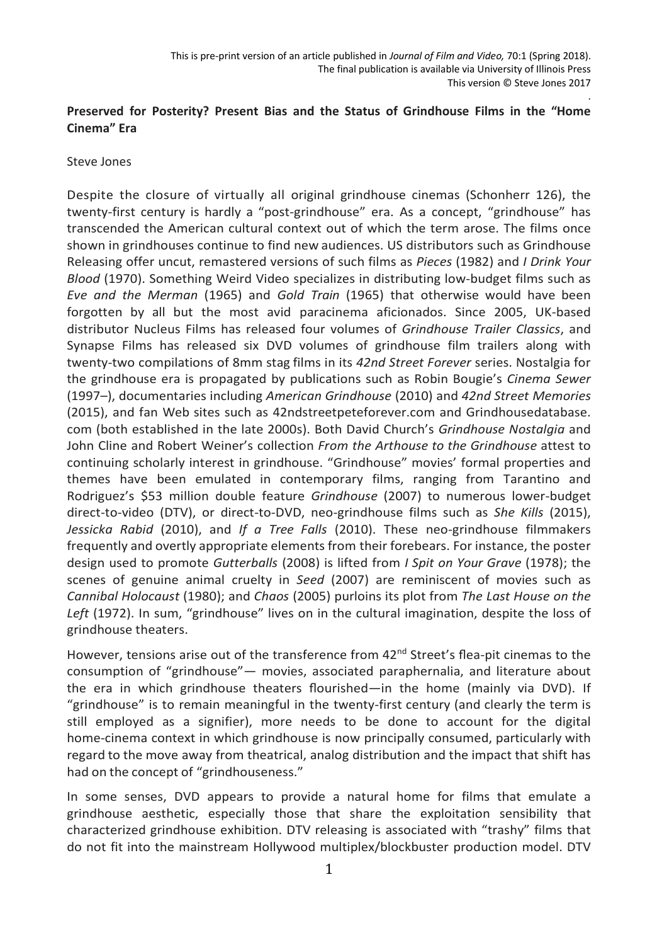# **Preserved for Posterity? Present Bias and the Status of Grindhouse Films in the "Home Cinema" Era**

### Steve Jones

Despite the closure of virtually all original grindhouse cinemas (Schonherr 126), the twenty-first century is hardly a "post-grindhouse" era. As a concept, "grindhouse" has transcended the American cultural context out of which the term arose. The films once shown in grindhouses continue to find new audiences. US distributors such as Grindhouse Releasing offer uncut, remastered versions of such films as *Pieces* (1982) and *I Drink Your Blood* (1970). Something Weird Video specializes in distributing low-budget films such as *Eve and the Merman* (1965) and *Gold Train* (1965) that otherwise would have been forgotten by all but the most avid paracinema aficionados. Since 2005, UK-based distributor Nucleus Films has released four volumes of *Grindhouse Trailer Classics*, and Synapse Films has released six DVD volumes of grindhouse film trailers along with twenty-two compilations of 8mm stag films in its *42nd Street Forever* series. Nostalgia for the grindhouse era is propagated by publications such as Robin Bougie's *Cinema Sewer*  (1997–), documentaries including *American Grindhouse* (2010) and *42nd Street Memories* (2015), and fan Web sites such as 42ndstreetpeteforever.com and Grindhousedatabase. com (both established in the late 2000s). Both David Church's *Grindhouse Nostalgia* and John Cline and Robert Weiner's collection *From the Arthouse to the Grindhouse* attest to continuing scholarly interest in grindhouse. "Grindhouse" movies' formal properties and themes have been emulated in contemporary films, ranging from Tarantino and Rodriguez's \$53 million double feature *Grindhouse* (2007) to numerous lower-budget direct-to-video (DTV), or direct-to-DVD, neo-grindhouse films such as *She Kills* (2015), *Jessicka Rabid* (2010), and *If a Tree Falls* (2010). These neo-grindhouse filmmakers frequently and overtly appropriate elements from their forebears. For instance, the poster design used to promote *Gutterballs* (2008) is lifted from *I Spit on Your Grave* (1978); the scenes of genuine animal cruelty in *Seed* (2007) are reminiscent of movies such as *Cannibal Holocaust* (1980); and *Chaos* (2005) purloins its plot from *The Last House on the*  Left (1972). In sum, "grindhouse" lives on in the cultural imagination, despite the loss of grindhouse theaters.

However, tensions arise out of the transference from 42<sup>nd</sup> Street's flea-pit cinemas to the consumption of "grindhouse"— movies, associated paraphernalia, and literature about the era in which grindhouse theaters flourished—in the home (mainly via DVD). If "grindhouse" is to remain meaningful in the twenty-first century (and clearly the term is still employed as a signifier), more needs to be done to account for the digital home-cinema context in which grindhouse is now principally consumed, particularly with regard to the move away from theatrical, analog distribution and the impact that shift has had on the concept of "grindhouseness."

In some senses, DVD appears to provide a natural home for films that emulate a grindhouse aesthetic, especially those that share the exploitation sensibility that characterized grindhouse exhibition. DTV releasing is associated with "trashy" films that do not fit into the mainstream Hollywood multiplex/blockbuster production model. DTV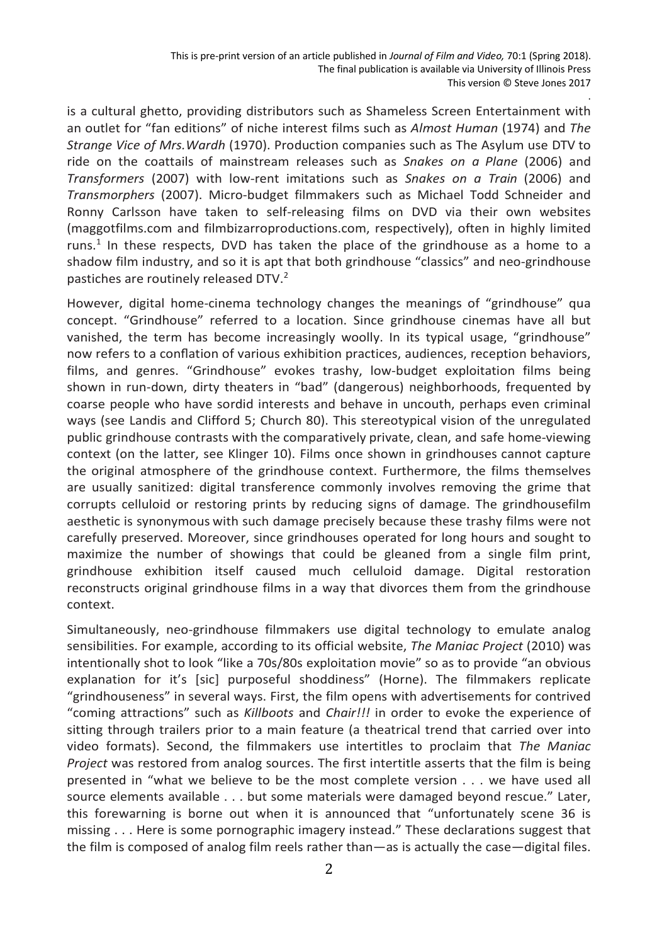is a cultural ghetto, providing distributors such as Shameless Screen Entertainment with an outlet for "fan editions" of niche interest films such as *Almost Human* (1974) and *The Strange Vice of Mrs.Wardh* (1970). Production companies such as The Asylum use DTV to ride on the coattails of mainstream releases such as *Snakes on a Plane* (2006) and *Transformers* (2007) with low-rent imitations such as *Snakes on a Train* (2006) and *Transmorphers* (2007). Micro-budget filmmakers such as Michael Todd Schneider and Ronny Carlsson have taken to self-releasing films on DVD via their own websites (maggotfilms.com and filmbizarroproductions.com, respectively), often in highly limited runs. <sup>1</sup> In these respects, DVD has taken the place of the grindhouse as a home to a shadow film industry, and so it is apt that both grindhouse "classics" and neo-grindhouse pastiches are routinely released DTV.<sup>2</sup>

However, digital home-cinema technology changes the meanings of "grindhouse" qua concept. "Grindhouse" referred to a location. Since grindhouse cinemas have all but vanished, the term has become increasingly woolly. In its typical usage, "grindhouse" now refers to a conflation of various exhibition practices, audiences, reception behaviors, films, and genres. "Grindhouse" evokes trashy, low-budget exploitation films being shown in run-down, dirty theaters in "bad" (dangerous) neighborhoods, frequented by coarse people who have sordid interests and behave in uncouth, perhaps even criminal ways (see Landis and Clifford 5; Church 80). This stereotypical vision of the unregulated public grindhouse contrasts with the comparatively private, clean, and safe home-viewing context (on the latter, see Klinger 10). Films once shown in grindhouses cannot capture the original atmosphere of the grindhouse context. Furthermore, the films themselves are usually sanitized: digital transference commonly involves removing the grime that corrupts celluloid or restoring prints by reducing signs of damage. The grindhousefilm aesthetic is synonymous with such damage precisely because these trashy films were not carefully preserved. Moreover, since grindhouses operated for long hours and sought to maximize the number of showings that could be gleaned from a single film print, grindhouse exhibition itself caused much celluloid damage. Digital restoration reconstructs original grindhouse films in a way that divorces them from the grindhouse context.

Simultaneously, neo-grindhouse filmmakers use digital technology to emulate analog sensibilities. For example, according to its official website, *The Maniac Project* (2010) was intentionally shot to look "like a 70s/80s exploitation movie" so as to provide "an obvious explanation for it's [sic] purposeful shoddiness" (Horne). The filmmakers replicate "grindhouseness" in several ways. First, the film opens with advertisements for contrived "coming attractions" such as *Killboots* and *Chair!!!* in order to evoke the experience of sitting through trailers prior to a main feature (a theatrical trend that carried over into video formats). Second, the filmmakers use intertitles to proclaim that *The Maniac Project* was restored from analog sources. The first intertitle asserts that the film is being presented in "what we believe to be the most complete version . . . we have used all source elements available . . . but some materials were damaged beyond rescue." Later, this forewarning is borne out when it is announced that "unfortunately scene 36 is missing . . . Here is some pornographic imagery instead." These declarations suggest that the film is composed of analog film reels rather than—as is actually the case—digital files.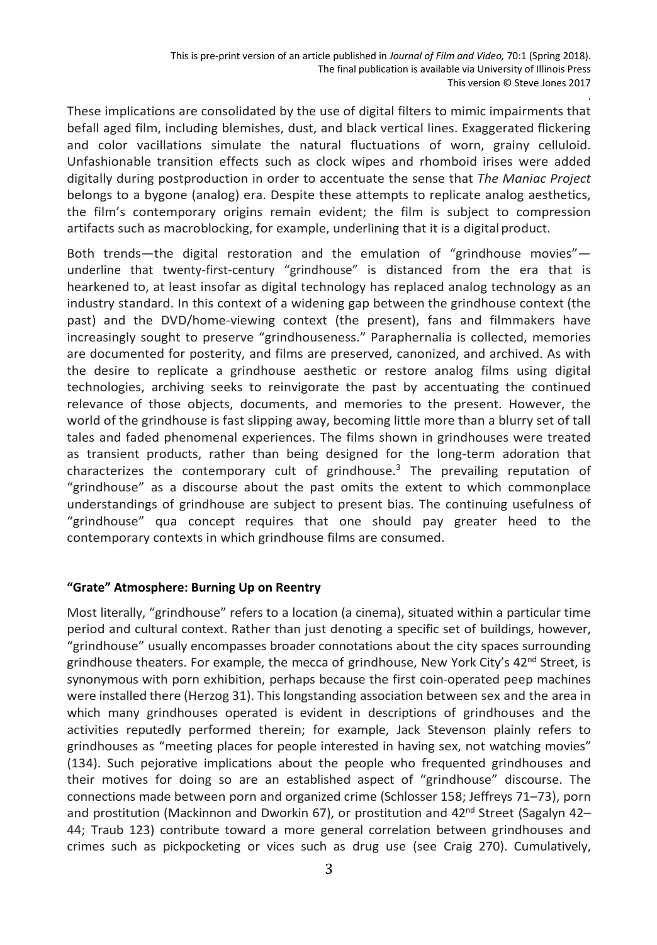These implications are consolidated by the use of digital filters to mimic impairments that befall aged film, including blemishes, dust, and black vertical lines. Exaggerated flickering and color vacillations simulate the natural fluctuations of worn, grainy celluloid. Unfashionable transition effects such as clock wipes and rhomboid irises were added digitally during postproduction in order to accentuate the sense that *The Maniac Project*  belongs to a bygone (analog) era. Despite these attempts to replicate analog aesthetics, the film's contemporary origins remain evident; the film is subject to compression artifacts such as macroblocking, for example, underlining that it is a digital product.

Both trends—the digital restoration and the emulation of "grindhouse movies" underline that twenty-first-century "grindhouse" is distanced from the era that is hearkened to, at least insofar as digital technology has replaced analog technology as an industry standard. In this context of a widening gap between the grindhouse context (the past) and the DVD/home-viewing context (the present), fans and filmmakers have increasingly sought to preserve "grindhouseness." Paraphernalia is collected, memories are documented for posterity, and films are preserved, canonized, and archived. As with the desire to replicate a grindhouse aesthetic or restore analog films using digital technologies, archiving seeks to reinvigorate the past by accentuating the continued relevance of those objects, documents, and memories to the present. However, the world of the grindhouse is fast slipping away, becoming little more than a blurry set of tall tales and faded phenomenal experiences. The films shown in grindhouses were treated as transient products, rather than being designed for the long-term adoration that characterizes the contemporary cult of grindhouse.<sup>3</sup> The prevailing reputation of "grindhouse" as a discourse about the past omits the extent to which commonplace understandings of grindhouse are subject to present bias. The continuing usefulness of "grindhouse" qua concept requires that one should pay greater heed to the contemporary contexts in which grindhouse films are consumed.

### **"Grate" Atmosphere: Burning Up on Reentry**

Most literally, "grindhouse" refers to a location (a cinema), situated within a particular time period and cultural context. Rather than just denoting a specific set of buildings, however, "grindhouse" usually encompasses broader connotations about the city spaces surrounding grindhouse theaters. For example, the mecca of grindhouse, New York City's  $42<sup>nd</sup>$  Street, is synonymous with porn exhibition, perhaps because the first coin-operated peep machines were installed there (Herzog 31). This longstanding association between sex and the area in which many grindhouses operated is evident in descriptions of grindhouses and the activities reputedly performed therein; for example, Jack Stevenson plainly refers to grindhouses as "meeting places for people interested in having sex, not watching movies" (134). Such pejorative implications about the people who frequented grindhouses and their motives for doing so are an established aspect of "grindhouse" discourse. The connections made between porn and organized crime (Schlosser 158; Jeffreys 71–73), porn and prostitution (Mackinnon and Dworkin 67), or prostitution and 42<sup>nd</sup> Street (Sagalyn 42-44; Traub 123) contribute toward a more general correlation between grindhouses and crimes such as pickpocketing or vices such as drug use (see Craig 270). Cumulatively,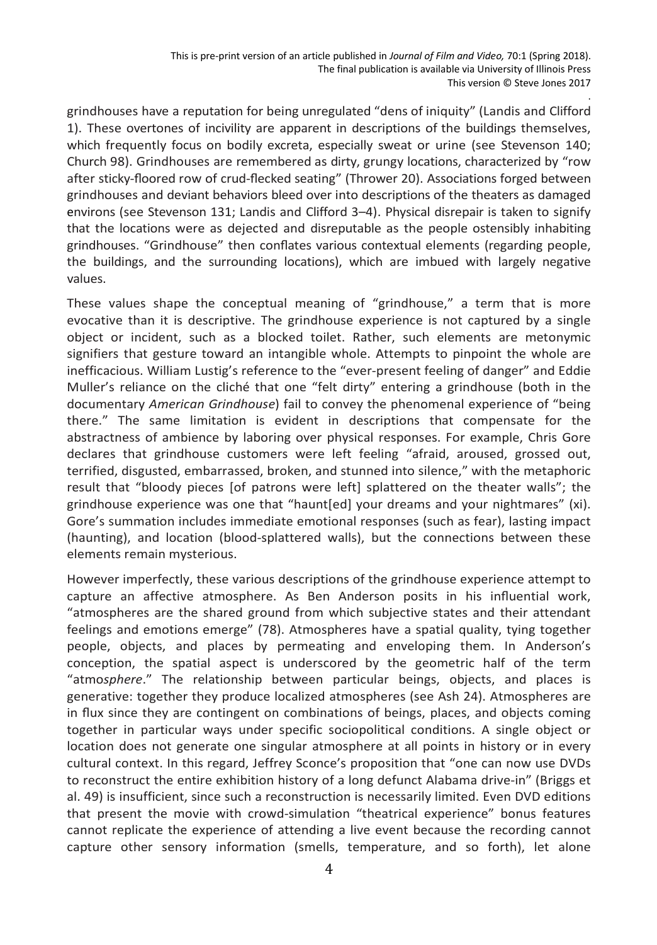grindhouses have a reputation for being unregulated "dens of iniquity" (Landis and Clifford 1). These overtones of incivility are apparent in descriptions of the buildings themselves, which frequently focus on bodily excreta, especially sweat or urine (see Stevenson 140; Church 98). Grindhouses are remembered as dirty, grungy locations, characterized by "row after sticky-floored row of crud-flecked seating" (Thrower 20). Associations forged between grindhouses and deviant behaviors bleed over into descriptions of the theaters as damaged environs (see Stevenson 131; Landis and Clifford 3–4). Physical disrepair is taken to signify that the locations were as dejected and disreputable as the people ostensibly inhabiting grindhouses. "Grindhouse" then conflates various contextual elements (regarding people, the buildings, and the surrounding locations), which are imbued with largely negative values.

These values shape the conceptual meaning of "grindhouse," a term that is more evocative than it is descriptive. The grindhouse experience is not captured by a single object or incident, such as a blocked toilet. Rather, such elements are metonymic signifiers that gesture toward an intangible whole. Attempts to pinpoint the whole are inefficacious. William Lustig's reference to the "ever-present feeling of danger" and Eddie Muller's reliance on the cliché that one "felt dirty" entering a grindhouse (both in the documentary *American Grindhouse*) fail to convey the phenomenal experience of "being there." The same limitation is evident in descriptions that compensate for the abstractness of ambience by laboring over physical responses. For example, Chris Gore declares that grindhouse customers were left feeling "afraid, aroused, grossed out, terrified, disgusted, embarrassed, broken, and stunned into silence," with the metaphoric result that "bloody pieces [of patrons were left] splattered on the theater walls"; the grindhouse experience was one that "haunt[ed] your dreams and your nightmares" (xi). Gore's summation includes immediate emotional responses (such as fear), lasting impact (haunting), and location (blood-splattered walls), but the connections between these elements remain mysterious.

However imperfectly, these various descriptions of the grindhouse experience attempt to capture an affective atmosphere. As Ben Anderson posits in his influential work, "atmospheres are the shared ground from which subjective states and their attendant feelings and emotions emerge" (78). Atmospheres have a spatial quality, tying together people, objects, and places by permeating and enveloping them. In Anderson's conception, the spatial aspect is underscored by the geometric half of the term "atmo*sphere*." The relationship between particular beings, objects, and places is generative: together they produce localized atmospheres (see Ash 24). Atmospheres are in flux since they are contingent on combinations of beings, places, and objects coming together in particular ways under specific sociopolitical conditions. A single object or location does not generate one singular atmosphere at all points in history or in every cultural context. In this regard, Jeffrey Sconce's proposition that "one can now use DVDs to reconstruct the entire exhibition history of a long defunct Alabama drive-in" (Briggs et al. 49) is insufficient, since such a reconstruction is necessarily limited. Even DVD editions that present the movie with crowd-simulation "theatrical experience" bonus features cannot replicate the experience of attending a live event because the recording cannot capture other sensory information (smells, temperature, and so forth), let alone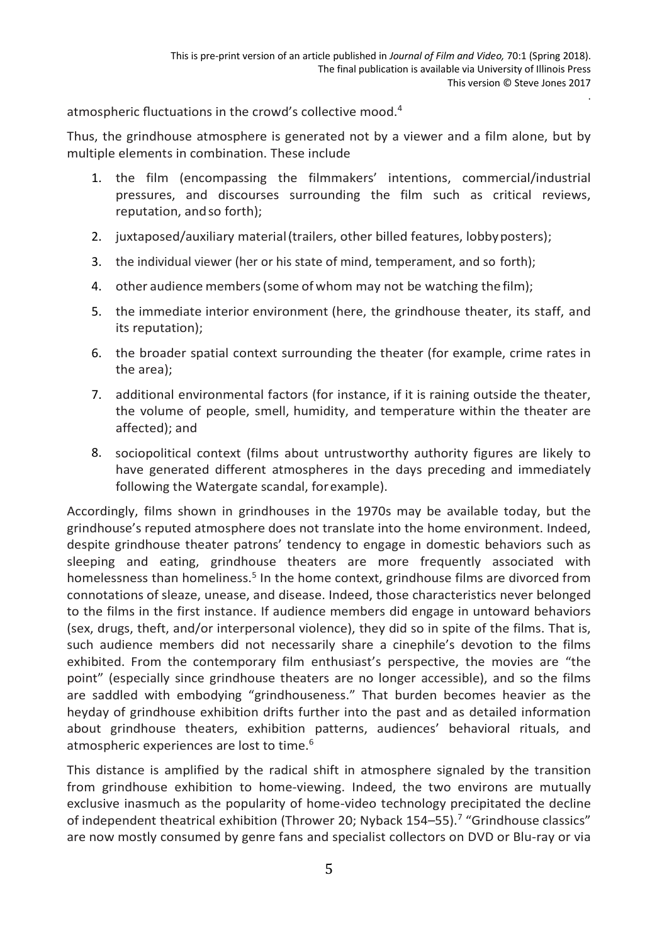atmospheric fluctuations in the crowd's collective mood.4

Thus, the grindhouse atmosphere is generated not by a viewer and a film alone, but by multiple elements in combination. These include

- 1. the film (encompassing the filmmakers' intentions, commercial/industrial pressures, and discourses surrounding the film such as critical reviews, reputation, andso forth);
- 2. juxtaposed/auxiliary material(trailers, other billed features, lobbyposters);
- 3. the individual viewer (her or his state of mind, temperament, and so forth);
- 4. other audience members(some of whom may not be watching thefilm);
- 5. the immediate interior environment (here, the grindhouse theater, its staff, and its reputation);
- 6. the broader spatial context surrounding the theater (for example, crime rates in the area);
- 7. additional environmental factors (for instance, if it is raining outside the theater, the volume of people, smell, humidity, and temperature within the theater are affected); and
- 8. sociopolitical context (films about untrustworthy authority figures are likely to have generated different atmospheres in the days preceding and immediately following the Watergate scandal, forexample).

Accordingly, films shown in grindhouses in the 1970s may be available today, but the grindhouse's reputed atmosphere does not translate into the home environment. Indeed, despite grindhouse theater patrons' tendency to engage in domestic behaviors such as sleeping and eating, grindhouse theaters are more frequently associated with homelessness than homeliness.<sup>5</sup> In the home context, grindhouse films are divorced from connotations of sleaze, unease, and disease. Indeed, those characteristics never belonged to the films in the first instance. If audience members did engage in untoward behaviors (sex, drugs, theft, and/or interpersonal violence), they did so in spite of the films. That is, such audience members did not necessarily share a cinephile's devotion to the films exhibited. From the contemporary film enthusiast's perspective, the movies are "the point" (especially since grindhouse theaters are no longer accessible), and so the films are saddled with embodying "grindhouseness." That burden becomes heavier as the heyday of grindhouse exhibition drifts further into the past and as detailed information about grindhouse theaters, exhibition patterns, audiences' behavioral rituals, and atmospheric experiences are lost to time.<sup>6</sup>

This distance is amplified by the radical shift in atmosphere signaled by the transition from grindhouse exhibition to home-viewing. Indeed, the two environs are mutually exclusive inasmuch as the popularity of home-video technology precipitated the decline of independent theatrical exhibition (Thrower 20; Nyback 154-55).<sup>7</sup> "Grindhouse classics" are now mostly consumed by genre fans and specialist collectors on DVD or Blu-ray or via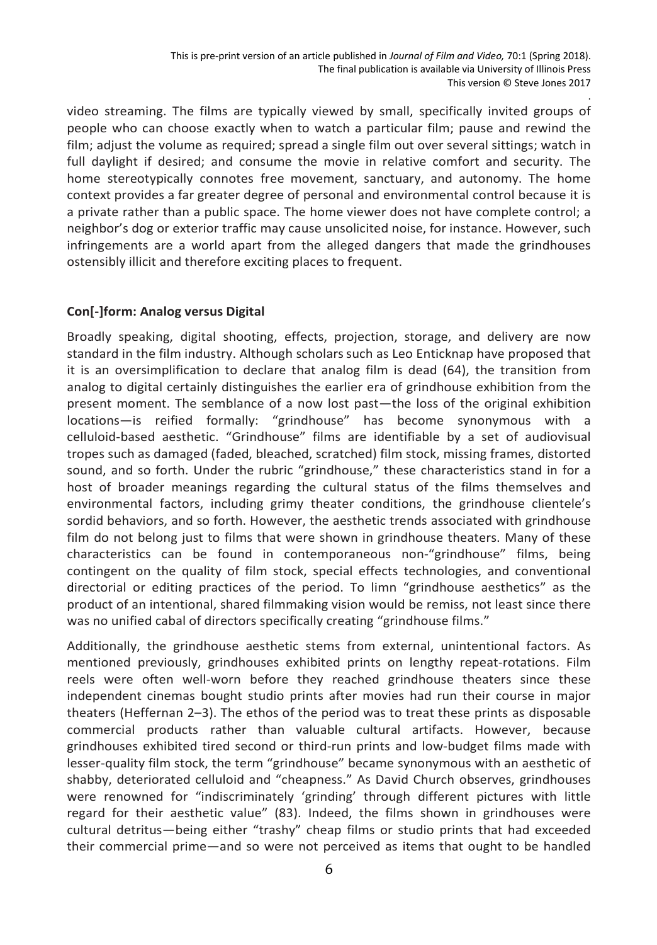video streaming. The films are typically viewed by small, specifically invited groups of people who can choose exactly when to watch a particular film; pause and rewind the film; adjust the volume as required; spread a single film out over several sittings; watch in full daylight if desired; and consume the movie in relative comfort and security. The home stereotypically connotes free movement, sanctuary, and autonomy. The home context provides a far greater degree of personal and environmental control because it is a private rather than a public space. The home viewer does not have complete control; a neighbor's dog or exterior traffic may cause unsolicited noise, for instance. However, such infringements are a world apart from the alleged dangers that made the grindhouses ostensibly illicit and therefore exciting places to frequent.

## **Con[-]form: Analog versus Digital**

Broadly speaking, digital shooting, effects, projection, storage, and delivery are now standard in the film industry. Although scholarssuch as Leo Enticknap have proposed that it is an oversimplification to declare that analog film is dead (64), the transition from analog to digital certainly distinguishes the earlier era of grindhouse exhibition from the present moment. The semblance of a now lost past—the loss of the original exhibition locations—is reified formally: "grindhouse" has become synonymous with a celluloid-based aesthetic. "Grindhouse" films are identifiable by a set of audiovisual tropes such as damaged (faded, bleached, scratched) film stock, missing frames, distorted sound, and so forth. Under the rubric "grindhouse," these characteristics stand in for a host of broader meanings regarding the cultural status of the films themselves and environmental factors, including grimy theater conditions, the grindhouse clientele's sordid behaviors, and so forth. However, the aesthetic trends associated with grindhouse film do not belong just to films that were shown in grindhouse theaters. Many of these characteristics can be found in contemporaneous non-"grindhouse" films, being contingent on the quality of film stock, special effects technologies, and conventional directorial or editing practices of the period. To limn "grindhouse aesthetics" as the product of an intentional, shared filmmaking vision would be remiss, not least since there was no unified cabal of directors specifically creating "grindhouse films."

Additionally, the grindhouse aesthetic stems from external, unintentional factors. As mentioned previously, grindhouses exhibited prints on lengthy repeat-rotations. Film reels were often well-worn before they reached grindhouse theaters since these independent cinemas bought studio prints after movies had run their course in major theaters (Heffernan 2–3). The ethos of the period was to treat these prints as disposable commercial products rather than valuable cultural artifacts. However, because grindhouses exhibited tired second or third-run prints and low-budget films made with lesser-quality film stock, the term "grindhouse" became synonymous with an aesthetic of shabby, deteriorated celluloid and "cheapness." As David Church observes, grindhouses were renowned for "indiscriminately 'grinding' through different pictures with little regard for their aesthetic value" (83). Indeed, the films shown in grindhouses were cultural detritus—being either "trashy" cheap films or studio prints that had exceeded their commercial prime—and so were not perceived as items that ought to be handled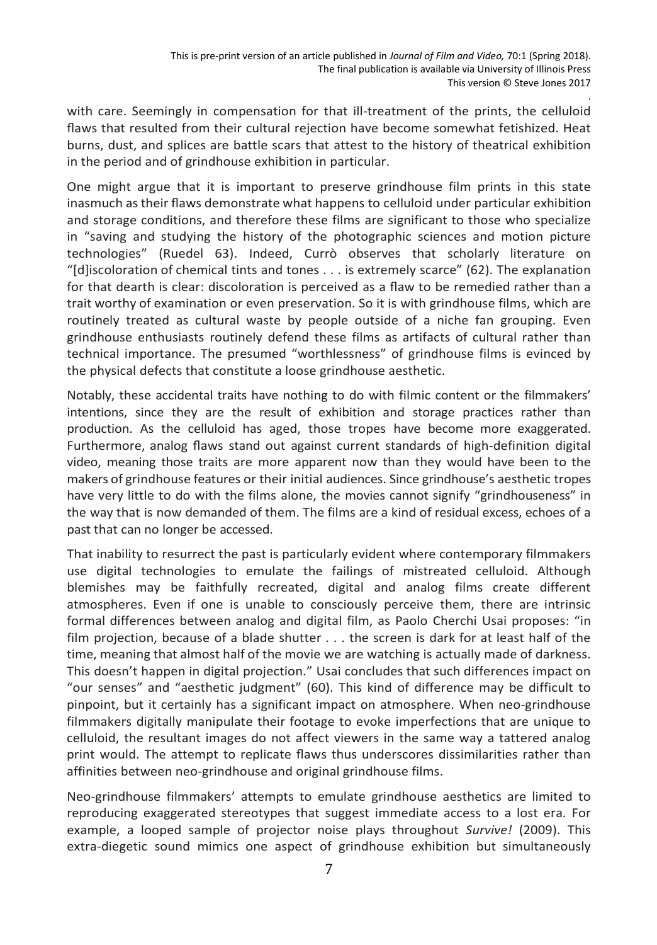with care. Seemingly in compensation for that ill-treatment of the prints, the celluloid flaws that resulted from their cultural rejection have become somewhat fetishized. Heat burns, dust, and splices are battle scars that attest to the history of theatrical exhibition in the period and of grindhouse exhibition in particular.

One might argue that it is important to preserve grindhouse film prints in this state inasmuch as their flaws demonstrate what happens to celluloid under particular exhibition and storage conditions, and therefore these films are significant to those who specialize in "saving and studying the history of the photographic sciences and motion picture technologies" (Ruedel 63). Indeed, Currò observes that scholarly literature on "[d]iscoloration of chemical tints and tones . . . is extremely scarce" (62). The explanation for that dearth is clear: discoloration is perceived as a flaw to be remedied rather than a trait worthy of examination or even preservation. So it is with grindhouse films, which are routinely treated as cultural waste by people outside of a niche fan grouping. Even grindhouse enthusiasts routinely defend these films as artifacts of cultural rather than technical importance. The presumed "worthlessness" of grindhouse films is evinced by the physical defects that constitute a loose grindhouse aesthetic.

Notably, these accidental traits have nothing to do with filmic content or the filmmakers' intentions, since they are the result of exhibition and storage practices rather than production. As the celluloid has aged, those tropes have become more exaggerated. Furthermore, analog flaws stand out against current standards of high-definition digital video, meaning those traits are more apparent now than they would have been to the makers of grindhouse features or their initial audiences. Since grindhouse's aesthetic tropes have very little to do with the films alone, the movies cannot signify "grindhouseness" in the way that is now demanded of them. The films are a kind of residual excess, echoes of a past that can no longer be accessed.

That inability to resurrect the past is particularly evident where contemporary filmmakers use digital technologies to emulate the failings of mistreated celluloid. Although blemishes may be faithfully recreated, digital and analog films create different atmospheres. Even if one is unable to consciously perceive them, there are intrinsic formal differences between analog and digital film, as Paolo Cherchi Usai proposes: "in film projection, because of a blade shutter . . . the screen is dark for at least half of the time, meaning that almost half of the movie we are watching is actually made of darkness. This doesn't happen in digital projection." Usai concludes that such differences impact on "our senses" and "aesthetic judgment" (60). This kind of difference may be difficult to pinpoint, but it certainly has a significant impact on atmosphere. When neo-grindhouse filmmakers digitally manipulate their footage to evoke imperfections that are unique to celluloid, the resultant images do not affect viewers in the same way a tattered analog print would. The attempt to replicate flaws thus underscores dissimilarities rather than affinities between neo-grindhouse and original grindhouse films.

Neo-grindhouse filmmakers' attempts to emulate grindhouse aesthetics are limited to reproducing exaggerated stereotypes that suggest immediate access to a lost era. For example, a looped sample of projector noise plays throughout *Survive!* (2009). This extra-diegetic sound mimics one aspect of grindhouse exhibition but simultaneously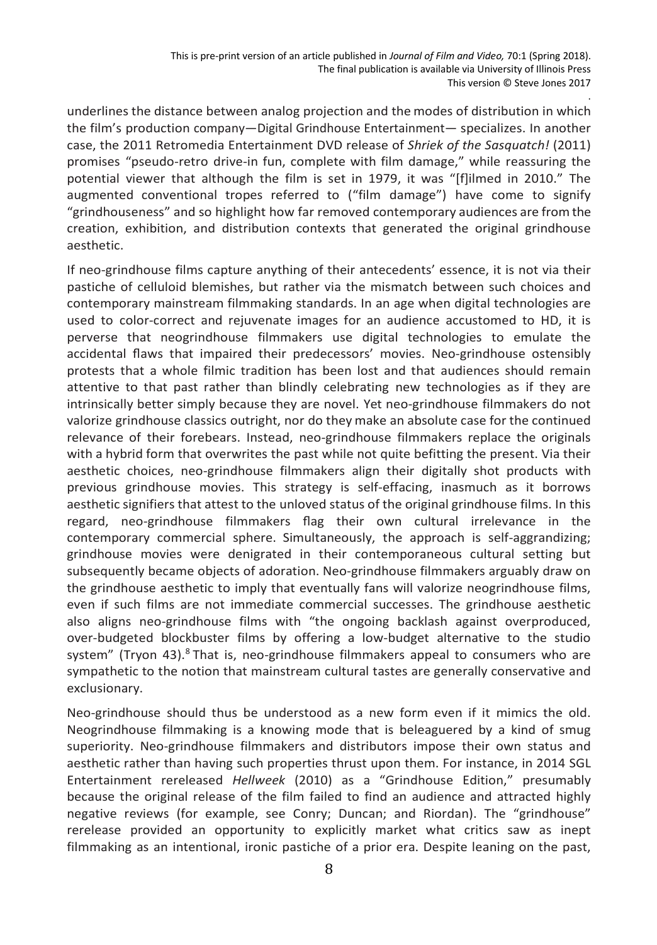underlines the distance between analog projection and the modes of distribution in which the film's production company—Digital Grindhouse Entertainment— specializes. In another case, the 2011 Retromedia Entertainment DVD release of *Shriek of the Sasquatch!* (2011) promises "pseudo-retro drive-in fun, complete with film damage," while reassuring the potential viewer that although the film is set in 1979, it was "[f]ilmed in 2010." The augmented conventional tropes referred to ("film damage") have come to signify "grindhouseness" and so highlight how far removed contemporary audiences are fromthe creation, exhibition, and distribution contexts that generated the original grindhouse aesthetic.

If neo-grindhouse films capture anything of their antecedents' essence, it is not via their pastiche of celluloid blemishes, but rather via the mismatch between such choices and contemporary mainstream filmmaking standards. In an age when digital technologies are used to color-correct and rejuvenate images for an audience accustomed to HD, it is perverse that neogrindhouse filmmakers use digital technologies to emulate the accidental flaws that impaired their predecessors' movies. Neo-grindhouse ostensibly protests that a whole filmic tradition has been lost and that audiences should remain attentive to that past rather than blindly celebrating new technologies as if they are intrinsically better simply because they are novel. Yet neo-grindhouse filmmakers do not valorize grindhouse classics outright, nor do they make an absolute case for the continued relevance of their forebears. Instead, neo-grindhouse filmmakers replace the originals with a hybrid form that overwrites the past while not quite befitting the present. Via their aesthetic choices, neo-grindhouse filmmakers align their digitally shot products with previous grindhouse movies. This strategy is self-effacing, inasmuch as it borrows aesthetic signifiers that attest to the unloved status of the original grindhouse films. In this regard, neo-grindhouse filmmakers flag their own cultural irrelevance in the contemporary commercial sphere. Simultaneously, the approach is self-aggrandizing; grindhouse movies were denigrated in their contemporaneous cultural setting but subsequently became objects of adoration. Neo-grindhouse filmmakers arguably draw on the grindhouse aesthetic to imply that eventually fans will valorize neogrindhouse films, even if such films are not immediate commercial successes. The grindhouse aesthetic also aligns neo-grindhouse films with "the ongoing backlash against overproduced, over-budgeted blockbuster films by offering a low-budget alternative to the studio system" (Tryon 43).<sup>8</sup> That is, neo-grindhouse filmmakers appeal to consumers who are sympathetic to the notion that mainstream cultural tastes are generally conservative and exclusionary.

Neo-grindhouse should thus be understood as a new form even if it mimics the old. Neogrindhouse filmmaking is a knowing mode that is beleaguered by a kind of smug superiority. Neo-grindhouse filmmakers and distributors impose their own status and aesthetic rather than having such properties thrust upon them. For instance, in 2014 SGL Entertainment rereleased *Hellweek* (2010) as a "Grindhouse Edition," presumably because the original release of the film failed to find an audience and attracted highly negative reviews (for example, see Conry; Duncan; and Riordan). The "grindhouse" rerelease provided an opportunity to explicitly market what critics saw as inept filmmaking as an intentional, ironic pastiche of a prior era. Despite leaning on the past,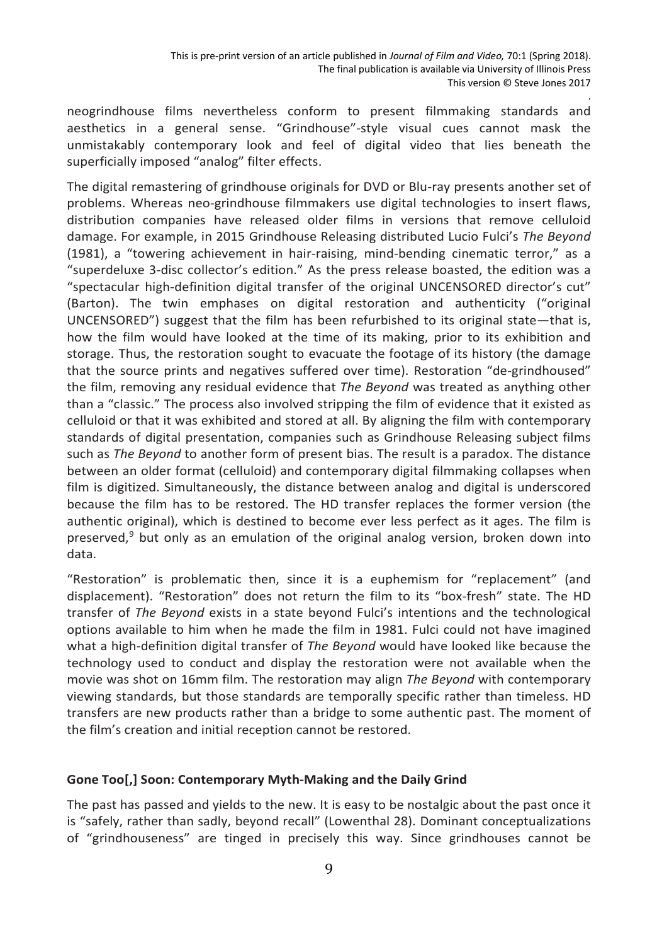neogrindhouse films nevertheless conform to present filmmaking standards and aesthetics in a general sense. "Grindhouse"-style visual cues cannot mask the unmistakably contemporary look and feel of digital video that lies beneath the superficially imposed "analog" filter effects.

The digital remastering of grindhouse originals for DVD or Blu-ray presents another set of problems. Whereas neo-grindhouse filmmakers use digital technologies to insert flaws, distribution companies have released older films in versions that remove celluloid damage. For example, in 2015 Grindhouse Releasing distributed Lucio Fulci's *The Beyond*  (1981), a "towering achievement in hair-raising, mind-bending cinematic terror," as a "superdeluxe 3-disc collector's edition." As the press release boasted, the edition was a "spectacular high-definition digital transfer of the original UNCENSORED director's cut" (Barton). The twin emphases on digital restoration and authenticity ("original UNCENSORED") suggest that the film has been refurbished to its original state—that is, how the film would have looked at the time of its making, prior to its exhibition and storage. Thus, the restoration sought to evacuate the footage of its history (the damage that the source prints and negatives suffered over time). Restoration "de-grindhoused" the film, removing any residual evidence that *The Beyond* was treated as anything other than a "classic." The process also involved stripping the film of evidence that it existed as celluloid or that it was exhibited and stored at all. By aligning the film with contemporary standards of digital presentation, companies such as Grindhouse Releasing subject films such as *The Beyond* to another form of present bias. The result is a paradox. The distance between an older format (celluloid) and contemporary digital filmmaking collapses when film is digitized. Simultaneously, the distance between analog and digital is underscored because the film has to be restored. The HD transfer replaces the former version (the authentic original), which is destined to become ever less perfect as it ages. The film is preserved,<sup>9</sup> but only as an emulation of the original analog version, broken down into data.

"Restoration" is problematic then, since it is a euphemism for "replacement" (and displacement). "Restoration" does not return the film to its "box-fresh" state. The HD transfer of *The Beyond* exists in a state beyond Fulci's intentions and the technological options available to him when he made the film in 1981. Fulci could not have imagined what a high-definition digital transfer of *The Beyond* would have looked like because the technology used to conduct and display the restoration were not available when the movie was shot on 16mm film. The restoration may align *The Beyond* with contemporary viewing standards, but those standards are temporally specific rather than timeless. HD transfers are new products rather than a bridge to some authentic past. The moment of the film's creation and initial reception cannot be restored.

### **Gone Too[,] Soon: Contemporary Myth-Making and the Daily Grind**

The past has passed and yields to the new. It is easy to be nostalgic about the past once it is "safely, rather than sadly, beyond recall" (Lowenthal 28). Dominant conceptualizations of "grindhouseness" are tinged in precisely this way. Since grindhouses cannot be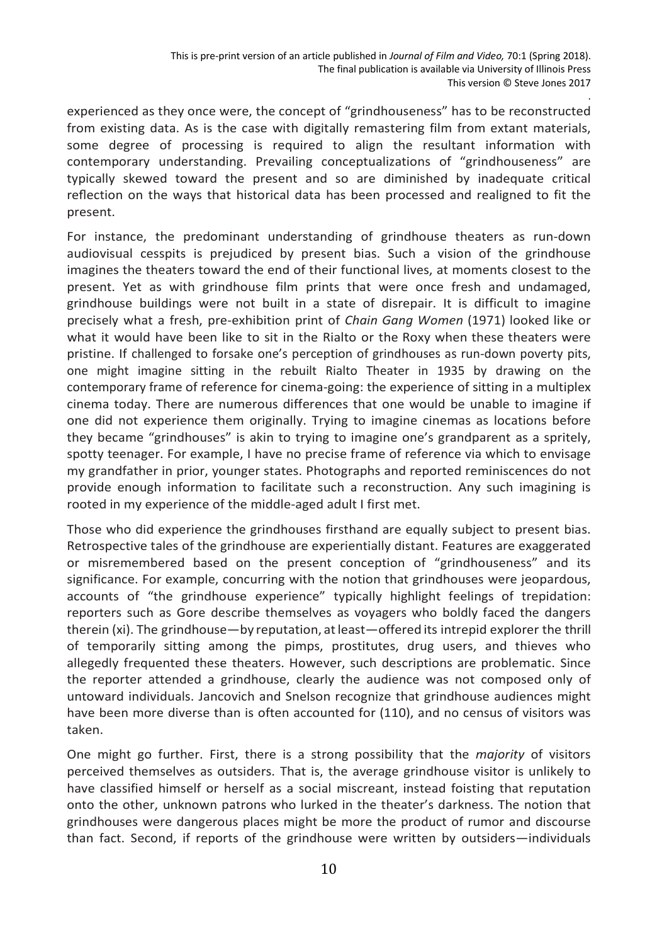experienced as they once were, the concept of "grindhouseness" has to be reconstructed from existing data. As is the case with digitally remastering film from extant materials, some degree of processing is required to align the resultant information with contemporary understanding. Prevailing conceptualizations of "grindhouseness" are typically skewed toward the present and so are diminished by inadequate critical reflection on the ways that historical data has been processed and realigned to fit the present.

For instance, the predominant understanding of grindhouse theaters as run-down audiovisual cesspits is prejudiced by present bias. Such a vision of the grindhouse imagines the theaters toward the end of their functional lives, at moments closest to the present. Yet as with grindhouse film prints that were once fresh and undamaged, grindhouse buildings were not built in a state of disrepair. It is difficult to imagine precisely what a fresh, pre-exhibition print of *Chain Gang Women* (1971) looked like or what it would have been like to sit in the Rialto or the Roxy when these theaters were pristine. If challenged to forsake one's perception of grindhouses as run-down poverty pits, one might imagine sitting in the rebuilt Rialto Theater in 1935 by drawing on the contemporary frame of reference for cinema-going: the experience of sitting in a multiplex cinema today. There are numerous differences that one would be unable to imagine if one did not experience them originally. Trying to imagine cinemas as locations before they became "grindhouses" is akin to trying to imagine one's grandparent as a spritely, spotty teenager. For example, I have no precise frame of reference via which to envisage my grandfather in prior, younger states. Photographs and reported reminiscences do not provide enough information to facilitate such a reconstruction. Any such imagining is rooted in my experience of the middle-aged adult I first met.

Those who did experience the grindhouses firsthand are equally subject to present bias. Retrospective tales of the grindhouse are experientially distant. Features are exaggerated or misremembered based on the present conception of "grindhouseness" and its significance. For example, concurring with the notion that grindhouses were jeopardous, accounts of "the grindhouse experience" typically highlight feelings of trepidation: reporters such as Gore describe themselves as voyagers who boldly faced the dangers therein (xi). The grindhouse—by reputation, atleast—offered its intrepid explorer the thrill of temporarily sitting among the pimps, prostitutes, drug users, and thieves who allegedly frequented these theaters. However, such descriptions are problematic. Since the reporter attended a grindhouse, clearly the audience was not composed only of untoward individuals. Jancovich and Snelson recognize that grindhouse audiences might have been more diverse than is often accounted for (110), and no census of visitors was taken.

One might go further. First, there is a strong possibility that the *majority* of visitors perceived themselves as outsiders. That is, the average grindhouse visitor is unlikely to have classified himself or herself as a social miscreant, instead foisting that reputation onto the other, unknown patrons who lurked in the theater's darkness. The notion that grindhouses were dangerous places might be more the product of rumor and discourse than fact. Second, if reports of the grindhouse were written by outsiders—individuals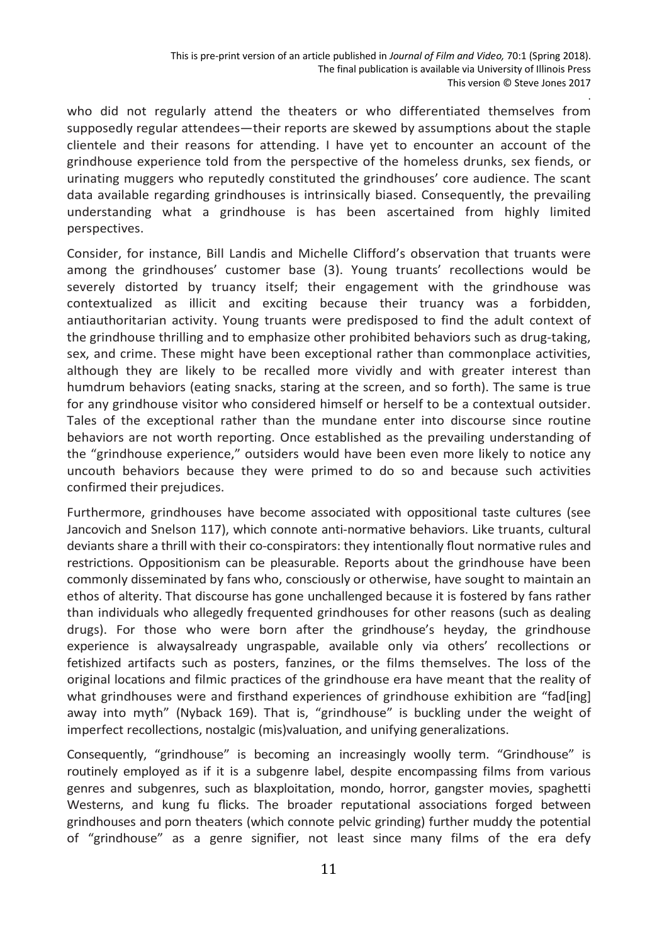who did not regularly attend the theaters or who differentiated themselves from supposedly regular attendees—their reports are skewed by assumptions about the staple clientele and their reasons for attending. I have yet to encounter an account of the grindhouse experience told from the perspective of the homeless drunks, sex fiends, or urinating muggers who reputedly constituted the grindhouses' core audience. The scant data available regarding grindhouses is intrinsically biased. Consequently, the prevailing understanding what a grindhouse is has been ascertained from highly limited perspectives.

Consider, for instance, Bill Landis and Michelle Clifford's observation that truants were among the grindhouses' customer base (3). Young truants' recollections would be severely distorted by truancy itself; their engagement with the grindhouse was contextualized as illicit and exciting because their truancy was a forbidden, antiauthoritarian activity. Young truants were predisposed to find the adult context of the grindhouse thrilling and to emphasize other prohibited behaviors such as drug-taking, sex, and crime. These might have been exceptional rather than commonplace activities, although they are likely to be recalled more vividly and with greater interest than humdrum behaviors (eating snacks, staring at the screen, and so forth). The same is true for any grindhouse visitor who considered himself or herself to be a contextual outsider. Tales of the exceptional rather than the mundane enter into discourse since routine behaviors are not worth reporting. Once established as the prevailing understanding of the "grindhouse experience," outsiders would have been even more likely to notice any uncouth behaviors because they were primed to do so and because such activities confirmed their prejudices.

Furthermore, grindhouses have become associated with oppositional taste cultures (see Jancovich and Snelson 117), which connote anti-normative behaviors. Like truants, cultural deviants share a thrill with their co-conspirators: they intentionally flout normative rules and restrictions. Oppositionism can be pleasurable. Reports about the grindhouse have been commonly disseminated by fans who, consciously or otherwise, have sought to maintain an ethos of alterity. That discourse has gone unchallenged because it is fostered by fans rather than individuals who allegedly frequented grindhouses for other reasons (such as dealing drugs). For those who were born after the grindhouse's heyday, the grindhouse experience is alwaysalready ungraspable, available only via others' recollections or fetishized artifacts such as posters, fanzines, or the films themselves. The loss of the original locations and filmic practices of the grindhouse era have meant that the reality of what grindhouses were and firsthand experiences of grindhouse exhibition are "fad[ing] away into myth" (Nyback 169). That is, "grindhouse" is buckling under the weight of imperfect recollections, nostalgic (mis)valuation, and unifying generalizations.

Consequently, "grindhouse" is becoming an increasingly woolly term. "Grindhouse" is routinely employed as if it is a subgenre label, despite encompassing films from various genres and subgenres, such as blaxploitation, mondo, horror, gangster movies, spaghetti Westerns, and kung fu flicks. The broader reputational associations forged between grindhouses and porn theaters (which connote pelvic grinding) further muddy the potential of "grindhouse" as a genre signifier, not least since many films of the era defy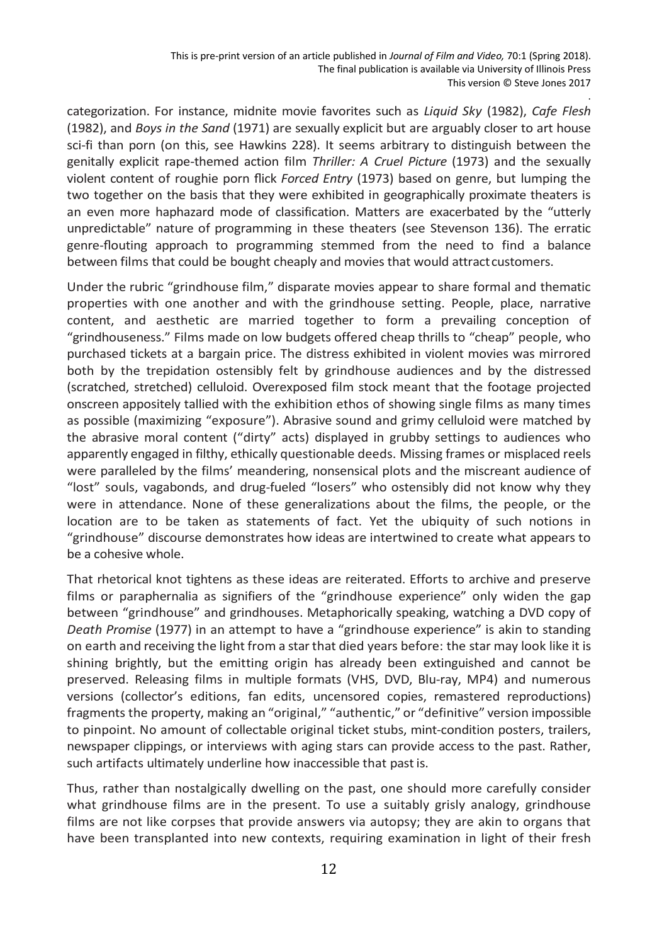categorization. For instance, midnite movie favorites such as *Liquid Sky* (1982), *Cafe Flesh*  (1982), and *Boys in the Sand* (1971) are sexually explicit but are arguably closer to art house sci-fi than porn (on this, see Hawkins 228). It seems arbitrary to distinguish between the genitally explicit rape-themed action film *Thriller: A Cruel Picture* (1973) and the sexually violent content of roughie porn flick *Forced Entry* (1973) based on genre, but lumping the two together on the basis that they were exhibited in geographically proximate theaters is an even more haphazard mode of classification. Matters are exacerbated by the "utterly unpredictable" nature of programming in these theaters (see Stevenson 136). The erratic genreflouting approach to programming stemmed from the need to find a balance between films that could be bought cheaply and movies that would attract customers.

Under the rubric "grindhouse film," disparate movies appear to share formal and thematic properties with one another and with the grindhouse setting. People, place, narrative content, and aesthetic are married together to form a prevailing conception of "grindhouseness." Films made on low budgets offered cheap thrills to "cheap" people, who purchased tickets at a bargain price. The distress exhibited in violent movies was mirrored both by the trepidation ostensibly felt by grindhouse audiences and by the distressed (scratched, stretched) celluloid. Overexposed film stock meant that the footage projected onscreen appositely tallied with the exhibition ethos of showing single films as many times as possible (maximizing "exposure"). Abrasive sound and grimy celluloid were matched by the abrasive moral content ("dirty" acts) displayed in grubby settings to audiences who apparently engaged in filthy, ethically questionable deeds. Missing frames or misplaced reels were paralleled by the films' meandering, nonsensical plots and the miscreant audience of "lost" souls, vagabonds, and drug-fueled "losers" who ostensibly did not know why they were in attendance. None of these generalizations about the films, the people, or the location are to be taken as statements of fact. Yet the ubiquity of such notions in "grindhouse" discourse demonstrates how ideas are intertwined to create what appears to be a cohesive whole.

That rhetorical knot tightens as these ideas are reiterated. Efforts to archive and preserve films or paraphernalia as signifiers of the "grindhouse experience" only widen the gap between "grindhouse" and grindhouses. Metaphorically speaking, watching a DVD copy of *Death Promise* (1977) in an attempt to have a "grindhouse experience" is akin to standing on earth and receiving the light from a starthat died years before: the star may look like it is shining brightly, but the emitting origin has already been extinguished and cannot be preserved. Releasing films in multiple formats (VHS, DVD, Blu-ray, MP4) and numerous versions (collector's editions, fan edits, uncensored copies, remastered reproductions) fragments the property, making an "original," "authentic," or "definitive" version impossible to pinpoint. No amount of collectable original ticket stubs, mint-condition posters, trailers, newspaper clippings, or interviews with aging stars can provide access to the past. Rather, such artifacts ultimately underline how inaccessible that pastis.

Thus, rather than nostalgically dwelling on the past, one should more carefully consider what grindhouse films are in the present. To use a suitably grisly analogy, grindhouse films are not like corpses that provide answers via autopsy; they are akin to organs that have been transplanted into new contexts, requiring examination in light of their fresh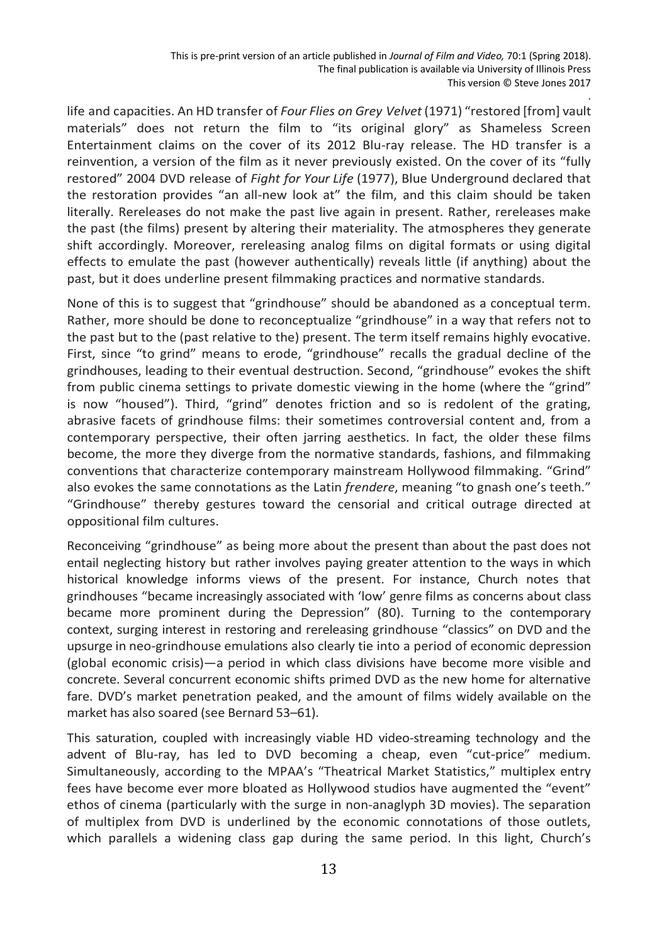life and capacities. An HD transfer of *Four Flies on Grey Velvet* (1971) "restored [from] vault materials" does not return the film to "its original glory" as Shameless Screen Entertainment claims on the cover of its 2012 Blu-ray release. The HD transfer is a reinvention, a version of the film as it never previously existed. On the cover of its "fully restored" 2004 DVD release of *Fight for Your Life* (1977), Blue Underground declared that the restoration provides "an all-new look at" the film, and this claim should be taken literally. Rereleases do not make the past live again in present. Rather, rereleases make the past (the films) present by altering their materiality. The atmospheres they generate shift accordingly. Moreover, rereleasing analog films on digital formats or using digital effects to emulate the past (however authentically) reveals little (if anything) about the past, but it does underline present filmmaking practices and normative standards.

None of this is to suggest that "grindhouse" should be abandoned as a conceptual term. Rather, more should be done to reconceptualize "grindhouse" in a way that refers not to the past but to the (past relative to the) present. The term itself remains highly evocative. First, since "to grind" means to erode, "grindhouse" recalls the gradual decline of the grindhouses, leading to their eventual destruction. Second, "grindhouse" evokes the shift from public cinema settings to private domestic viewing in the home (where the "grind" is now "housed"). Third, "grind" denotes friction and so is redolent of the grating, abrasive facets of grindhouse films: their sometimes controversial content and, from a contemporary perspective, their often jarring aesthetics. In fact, the older these films become, the more they diverge from the normative standards, fashions, and filmmaking conventions that characterize contemporary mainstream Hollywood filmmaking. "Grind" also evokes the same connotations as the Latin *frendere*, meaning "to gnash one's teeth." "Grindhouse" thereby gestures toward the censorial and critical outrage directed at oppositional film cultures.

Reconceiving "grindhouse" as being more about the present than about the past does not entail neglecting history but rather involves paying greater attention to the ways in which historical knowledge informs views of the present. For instance, Church notes that grindhouses "became increasingly associated with 'low' genre films as concerns about class became more prominent during the Depression" (80). Turning to the contemporary context, surging interest in restoring and rereleasing grindhouse "classics" on DVD and the upsurge in neo-grindhouse emulations also clearly tie into a period of economic depression (global economic crisis)—a period in which class divisions have become more visible and concrete. Several concurrent economic shifts primed DVD as the new home for alternative fare. DVD's market penetration peaked, and the amount of films widely available on the market has also soared (see Bernard 53–61).

This saturation, coupled with increasingly viable HD video-streaming technology and the advent of Blu-ray, has led to DVD becoming a cheap, even "cut-price" medium. Simultaneously, according to the MPAA's "Theatrical Market Statistics," multiplex entry fees have become ever more bloated as Hollywood studios have augmented the "event" ethos of cinema (particularly with the surge in non-anaglyph 3D movies). The separation of multiplex from DVD is underlined by the economic connotations of those outlets, which parallels a widening class gap during the same period. In this light, Church's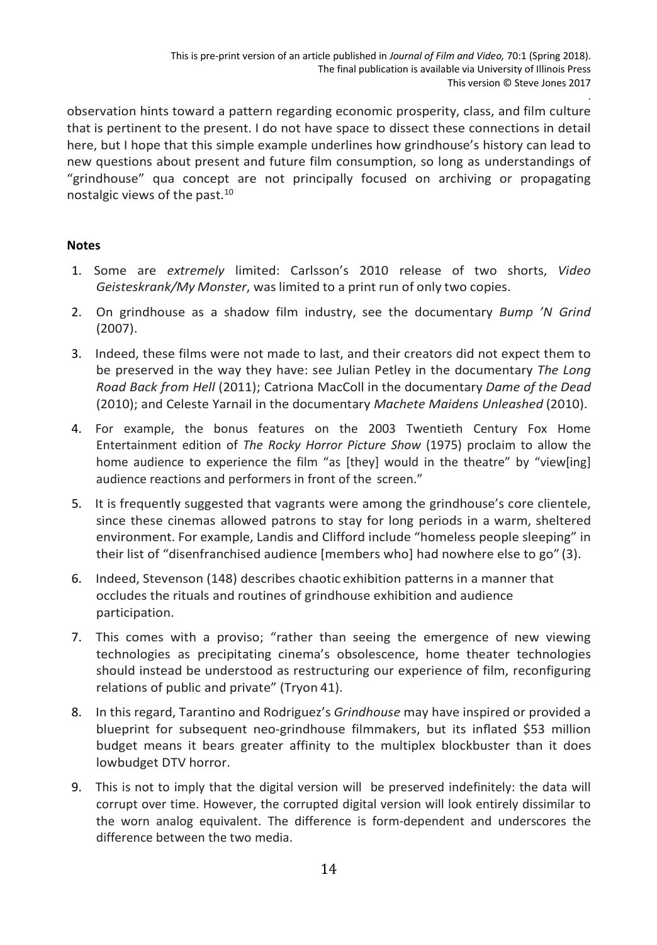observation hints toward a pattern regarding economic prosperity, class, and film culture that is pertinent to the present. I do not have space to dissect these connections in detail here, but I hope that this simple example underlines how grindhouse's history can lead to new questions about present and future film consumption, so long as understandings of "grindhouse" qua concept are not principally focused on archiving or propagating nostalgic views of the past. 10

## **Notes**

- 1. Some are *extremely* limited: Carlsson's 2010 release of two shorts, *Video Geisteskrank/My Monster*, was limited to a print run of only two copies.
- 2. On grindhouse as a shadow film industry, see the documentary *Bump 'N Grind* (2007).
- 3. Indeed, these films were not made to last, and their creators did not expect them to be preserved in the way they have: see Julian Petley in the documentary *The Long Road Back from Hell* (2011); Catriona MacColl in the documentary *Dame of the Dead* (2010); and Celeste Yarnail in the documentary *Machete Maidens Unleashed* (2010).
- 4. For example, the bonus features on the 2003 Twentieth Century Fox Home Entertainment edition of *The Rocky Horror Picture Show* (1975) proclaim to allow the home audience to experience the film "as [they] would in the theatre" by "view[ing] audience reactions and performers in front of the screen."
- 5. It is frequently suggested that vagrants were among the grindhouse's core clientele, since these cinemas allowed patrons to stay for long periods in a warm, sheltered environment. For example, Landis and Clifford include "homeless people sleeping" in their list of "disenfranchised audience [members who] had nowhere else to go" (3).
- 6. Indeed, Stevenson (148) describes chaotic exhibition patterns in a manner that occludes the rituals and routines of grindhouse exhibition and audience participation.
- 7. This comes with a proviso; "rather than seeing the emergence of new viewing technologies as precipitating cinema's obsolescence, home theater technologies should instead be understood as restructuring our experience of film, reconfiguring relations of public and private" (Tryon 41).
- 8. In this regard, Tarantino and Rodriguez's *Grindhouse* may have inspired or provided a blueprint for subsequent neo-grindhouse filmmakers, but its inflated \$53 million budget means it bears greater affinity to the multiplex blockbuster than it does lowbudget DTV horror.
- 9. This is not to imply that the digital version will be preserved indefinitely: the data will corrupt over time. However, the corrupted digital version will look entirely dissimilar to the worn analog equivalent. The difference is form-dependent and underscores the difference between the two media.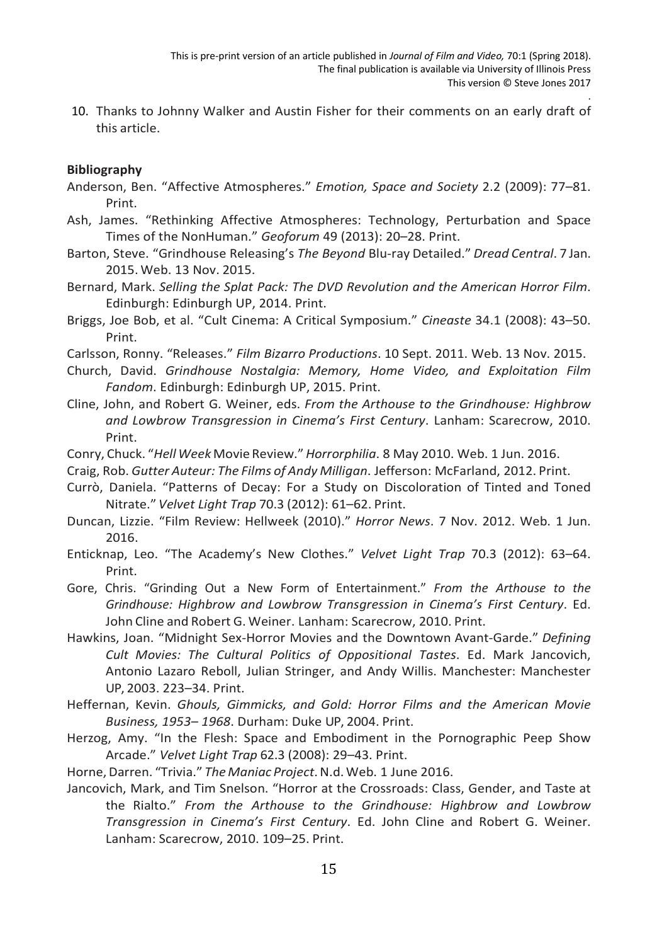10. Thanks to Johnny Walker and Austin Fisher for their comments on an early draft of this article.

#### **Bibliography**

- Anderson, Ben. "Affective Atmospheres." *Emotion, Space and Society* 2.2 (2009): 77–81. Print.
- Ash, James. "Rethinking Affective Atmospheres: Technology, Perturbation and Space Times of the NonHuman." *Geoforum* 49 (2013): 20–28. Print.
- Barton, Steve. "Grindhouse Releasing's *The Beyond* Blu-ray Detailed." *Dread Central*. 7 Jan. 2015. Web. 13 Nov. 2015.
- Bernard, Mark. *Selling the Splat Pack: The DVD Revolution and the American Horror Film*. Edinburgh: Edinburgh UP, 2014. Print.
- Briggs, Joe Bob, et al. "Cult Cinema: A Critical Symposium." *Cineaste* 34.1 (2008): 43–50. Print.
- Carlsson, Ronny. "Releases." *Film Bizarro Productions*. 10 Sept. 2011. Web. 13 Nov. 2015.
- Church, David. *Grindhouse Nostalgia: Memory, Home Video, and Exploitation Film Fandom*. Edinburgh: Edinburgh UP, 2015. Print.
- Cline, John, and Robert G. Weiner, eds. *From the Arthouse to the Grindhouse: Highbrow and Lowbrow Transgression in Cinema's First Century*. Lanham: Scarecrow, 2010. Print.
- Conry, Chuck. "*HellWeek* Movie Review."*Horrorphilia*. 8 May 2010. Web. 1 Jun. 2016.
- Craig, Rob. *Gutter Auteur: The Films of Andy Milligan*. Jefferson: McFarland, 2012. Print.
- Currò, Daniela. "Patterns of Decay: For a Study on Discoloration of Tinted and Toned Nitrate." *Velvet Light Trap* 70.3 (2012): 61–62. Print.
- Duncan, Lizzie. "Film Review: Hellweek (2010)." *Horror News*. 7 Nov. 2012. Web. 1 Jun. 2016.
- Enticknap, Leo. "The Academy's New Clothes." *Velvet Light Trap* 70.3 (2012): 63–64. Print.
- Gore, Chris. "Grinding Out a New Form of Entertainment." *From the Arthouse to the Grindhouse: Highbrow and Lowbrow Transgression in Cinema's First Century*. Ed. John Cline and Robert G. Weiner. Lanham: Scarecrow, 2010. Print.
- Hawkins, Joan. "Midnight Sex-Horror Movies and the Downtown Avant-Garde." *Defining Cult Movies: The Cultural Politics of Oppositional Tastes*. Ed. Mark Jancovich, Antonio Lazaro Reboll, Julian Stringer, and Andy Willis. Manchester: Manchester UP, 2003. 223–34. Print.
- Heffernan, Kevin. *Ghouls, Gimmicks, and Gold: Horror Films and the American Movie Business, 1953– 1968*. Durham: Duke UP, 2004. Print.
- Herzog, Amy. "In the Flesh: Space and Embodiment in the Pornographic Peep Show Arcade." *Velvet Light Trap* 62.3 (2008): 29–43. Print.
- Horne,Darren. "Trivia." *The Maniac Project*.N.d. Web. 1 June 2016.
- Jancovich, Mark, and Tim Snelson. "Horror at the Crossroads: Class, Gender, and Taste at the Rialto." *From the Arthouse to the Grindhouse: Highbrow and Lowbrow Transgression in Cinema's First Century*. Ed. John Cline and Robert G. Weiner. Lanham: Scarecrow, 2010. 109–25. Print.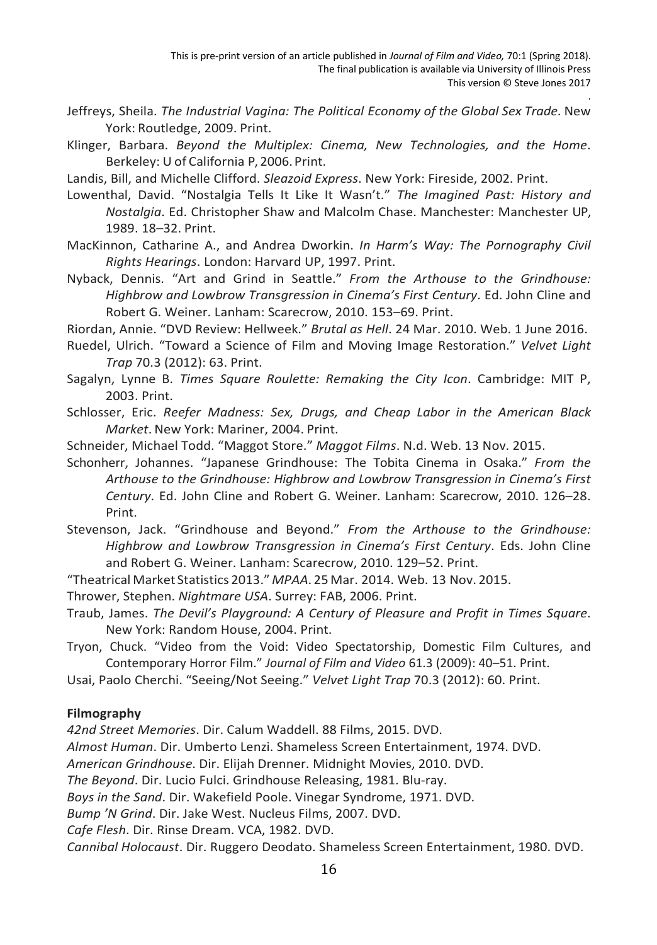- Jeffreys, Sheila. *The Industrial Vagina: The Political Economy of the Global Sex Trade*. New York: Routledge, 2009. Print.
- Klinger, Barbara. *Beyond the Multiplex: Cinema, New Technologies, and the Home*. Berkeley: U of California P, 2006.Print.
- Landis, Bill, and Michelle Clifford. *Sleazoid Express*. New York: Fireside, 2002. Print.
- Lowenthal, David. "Nostalgia Tells It Like It Wasn't." *The Imagined Past: History and Nostalgia*. Ed. Christopher Shaw and Malcolm Chase. Manchester: Manchester UP, 1989. 18–32. Print.
- MacKinnon, Catharine A., and Andrea Dworkin. *In Harm's Way: The Pornography Civil Rights Hearings*. London: Harvard UP, 1997. Print.
- Nyback, Dennis. "Art and Grind in Seattle." *From the Arthouse to the Grindhouse: Highbrow and Lowbrow Transgression in Cinema's First Century*. Ed. John Cline and Robert G. Weiner. Lanham: Scarecrow, 2010. 153–69. Print.

Riordan, Annie. "DVD Review: Hellweek." *Brutal as Hell*. 24 Mar. 2010. Web. 1 June 2016.

- Ruedel, Ulrich. "Toward a Science of Film and Moving Image Restoration." *Velvet Light Trap* 70.3 (2012): 63. Print.
- Sagalyn, Lynne B. *Times Square Roulette: Remaking the City Icon*. Cambridge: MIT P, 2003. Print.
- Schlosser, Eric. *Reefer Madness: Sex, Drugs, and Cheap Labor in the American Black Market*. New York: Mariner, 2004. Print.
- Schneider, Michael Todd. "Maggot Store." *Maggot Films*. N.d. Web. 13 Nov. 2015.
- Schonherr, Johannes. "Japanese Grindhouse: The Tobita Cinema in Osaka." *From the Arthouse to the Grindhouse: Highbrow and Lowbrow Transgression in Cinema's First Century*. Ed. John Cline and Robert G. Weiner. Lanham: Scarecrow, 2010. 126–28. Print.
- Stevenson, Jack. "Grindhouse and Beyond." *From the Arthouse to the Grindhouse: Highbrow and Lowbrow Transgression in Cinema's First Century*. Eds. John Cline and Robert G. Weiner. Lanham: Scarecrow, 2010. 129–52. Print.
- "Theatrical Market Statistics 2013." *MPAA*. 25 Mar. 2014. Web. 13 Nov. 2015.
- Thrower, Stephen. *Nightmare USA*. Surrey: FAB, 2006. Print.
- Traub, James. *The Devil's Playground: A Century of Pleasure and Profit in Times Square*. New York: Random House, 2004. Print.
- Tryon, Chuck. "Video from the Void: Video Spectatorship, Domestic Film Cultures, and Contemporary Horror Film." *Journal of Film and Video* 61.3 (2009): 40–51. Print.
- Usai, Paolo Cherchi. "Seeing/Not Seeing." *Velvet Light Trap* 70.3 (2012): 60. Print.

#### **Filmography**

*42nd Street Memories*. Dir. Calum Waddell. 88 Films, 2015. DVD.

*Almost Human*. Dir. Umberto Lenzi. Shameless Screen Entertainment, 1974. DVD.

*American Grindhouse*. Dir. Elijah Drenner. Midnight Movies, 2010. DVD.

*The Beyond*. Dir. Lucio Fulci. Grindhouse Releasing, 1981. Blu-ray.

*Boys in the Sand*. Dir. Wakefield Poole. Vinegar Syndrome, 1971. DVD.

*Bump 'N Grind*. Dir. Jake West. Nucleus Films, 2007. DVD.

*Cafe Flesh*. Dir. Rinse Dream. VCA, 1982. DVD.

*Cannibal Holocaust*. Dir. Ruggero Deodato. Shameless Screen Entertainment, 1980. DVD.